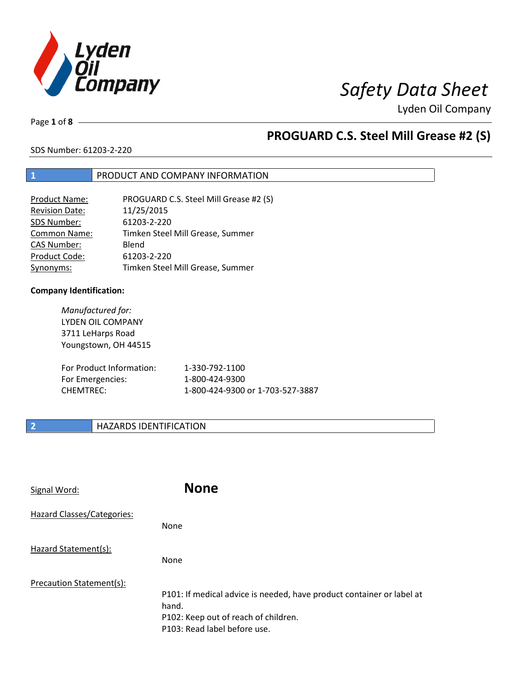

Page **1** of **8**

## **PROGUARD C.S. Steel Mill Grease #2 (S)**

SDS Number: 61203-2-220

## **1** PRODUCT AND COMPANY INFORMATION

| <b>Product Name:</b>  | PROGUARD C.S. Steel Mill Grease #2 (S) |
|-----------------------|----------------------------------------|
| <b>Revision Date:</b> | 11/25/2015                             |
| SDS Number:           | 61203-2-220                            |
| Common Name:          | Timken Steel Mill Grease, Summer       |
| <b>CAS Number:</b>    | Blend                                  |
| Product Code:         | 61203-2-220                            |
| Synonyms:             | Timken Steel Mill Grease, Summer       |

### **Company Identification:**

*Manufactured for:* LYDEN OIL COMPANY 3711 LeHarps Road Youngstown, OH 44515 For Product Information: 1-330-792-1100 For Emergencies: 1-800-424-9300 CHEMTREC: 1-800-424-9300 or 1-703-527-3887

## **2 HAZARDS IDENTIFICATION**

| Signal Word:               | <b>None</b>                                                                                                                                            |
|----------------------------|--------------------------------------------------------------------------------------------------------------------------------------------------------|
| Hazard Classes/Categories: | None                                                                                                                                                   |
| Hazard Statement(s):       | None                                                                                                                                                   |
| Precaution Statement(s):   | P101: If medical advice is needed, have product container or label at<br>hand.<br>P102: Keep out of reach of children.<br>P103: Read label before use. |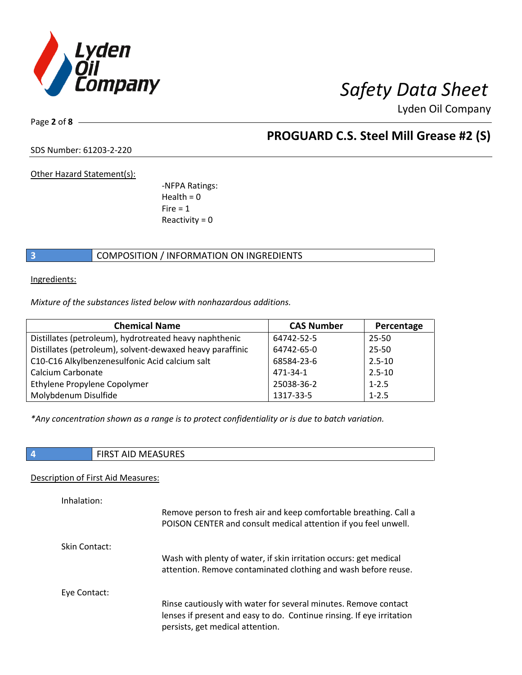

Page **2** of **8**

## **PROGUARD C.S. Steel Mill Grease #2 (S)**

SDS Number: 61203-2-220

Other Hazard Statement(s):

-NFPA Ratings:  $Health = 0$  $Fire = 1$ Reactivity  $= 0$ 

## **3** COMPOSITION / INFORMATION ON INGREDIENTS

Ingredients:

*Mixture of the substances listed below with nonhazardous additions.*

| <b>Chemical Name</b>                                      | <b>CAS Number</b> | Percentage |
|-----------------------------------------------------------|-------------------|------------|
| Distillates (petroleum), hydrotreated heavy naphthenic    | 64742-52-5        | 25-50      |
| Distillates (petroleum), solvent-dewaxed heavy paraffinic | 64742-65-0        | 25-50      |
| C10-C16 Alkylbenzenesulfonic Acid calcium salt            | 68584-23-6        | $2.5 - 10$ |
| Calcium Carbonate                                         | 471-34-1          | $2.5 - 10$ |
| Ethylene Propylene Copolymer                              | 25038-36-2        | $1 - 2.5$  |
| Molybdenum Disulfide                                      | 1317-33-5         | $1 - 2.5$  |

*\*Any concentration shown as a range is to protect confidentiality or is due to batch variation.*

| .<br><b>FINJI AID IVILAJUINLJ</b> |
|-----------------------------------|

### Description of First Aid Measures:

| Inhalation:   |                                                                                                                                                                              |
|---------------|------------------------------------------------------------------------------------------------------------------------------------------------------------------------------|
|               | Remove person to fresh air and keep comfortable breathing. Call a<br>POISON CENTER and consult medical attention if you feel unwell.                                         |
| Skin Contact: |                                                                                                                                                                              |
|               | Wash with plenty of water, if skin irritation occurs: get medical<br>attention. Remove contaminated clothing and wash before reuse.                                          |
| Eye Contact:  |                                                                                                                                                                              |
|               | Rinse cautiously with water for several minutes. Remove contact<br>lenses if present and easy to do. Continue rinsing. If eye irritation<br>persists, get medical attention. |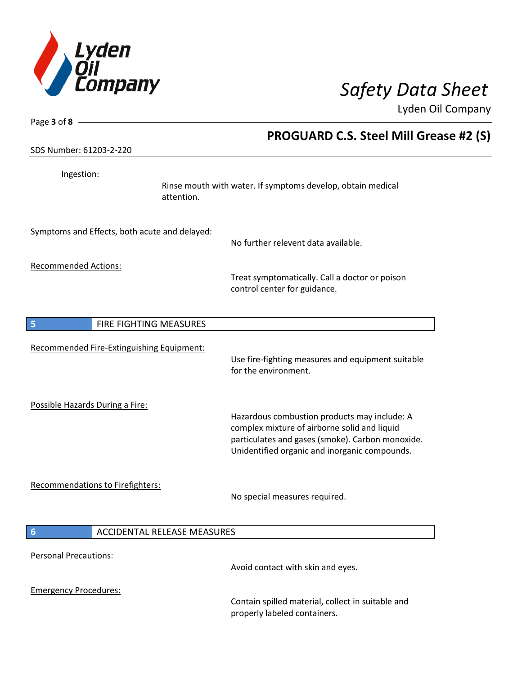

| Page 3 of 8                                           |                                                                                                                                                                                                   |
|-------------------------------------------------------|---------------------------------------------------------------------------------------------------------------------------------------------------------------------------------------------------|
|                                                       | <b>PROGUARD C.S. Steel Mill Grease #2 (S)</b>                                                                                                                                                     |
| SDS Number: 61203-2-220                               |                                                                                                                                                                                                   |
| Ingestion:<br>attention.                              | Rinse mouth with water. If symptoms develop, obtain medical                                                                                                                                       |
| Symptoms and Effects, both acute and delayed:         | No further relevent data available.                                                                                                                                                               |
| <b>Recommended Actions:</b>                           | Treat symptomatically. Call a doctor or poison<br>control center for guidance.                                                                                                                    |
| FIRE FIGHTING MEASURES<br>5                           |                                                                                                                                                                                                   |
| Recommended Fire-Extinguishing Equipment:             | Use fire-fighting measures and equipment suitable<br>for the environment.                                                                                                                         |
| Possible Hazards During a Fire:                       | Hazardous combustion products may include: A<br>complex mixture of airborne solid and liquid<br>particulates and gases (smoke). Carbon monoxide.<br>Unidentified organic and inorganic compounds. |
| Recommendations to Firefighters:                      | No special measures required.                                                                                                                                                                     |
| <b>ACCIDENTAL RELEASE MEASURES</b><br>$6\phantom{1}6$ |                                                                                                                                                                                                   |
| <b>Personal Precautions:</b>                          | Avoid contact with skin and eyes.                                                                                                                                                                 |
| <b>Emergency Procedures:</b>                          | Contain spilled material, collect in suitable and<br>properly labeled containers.                                                                                                                 |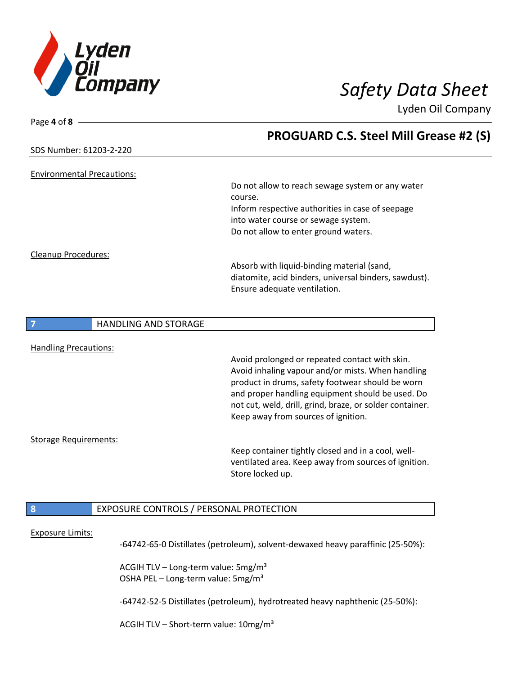

| Page 4 of $8 -$                               |                                                          |
|-----------------------------------------------|----------------------------------------------------------|
|                                               | PROGUARD C.S. Steel Mill Grease #2 (S)                   |
| SDS Number: 61203-2-220                       |                                                          |
| <b>Environmental Precautions:</b>             |                                                          |
|                                               | Do not allow to reach sewage system or any water         |
|                                               | course.                                                  |
|                                               | Inform respective authorities in case of seepage         |
|                                               | into water course or sewage system.                      |
|                                               | Do not allow to enter ground waters.                     |
| Cleanup Procedures:                           |                                                          |
|                                               | Absorb with liquid-binding material (sand,               |
|                                               | diatomite, acid binders, universal binders, sawdust).    |
|                                               | Ensure adequate ventilation.                             |
|                                               |                                                          |
| <b>HANDLING AND STORAGE</b><br>$\overline{7}$ |                                                          |
|                                               |                                                          |
| <b>Handling Precautions:</b>                  |                                                          |
|                                               | Avoid prolonged or repeated contact with skin.           |
|                                               | Avoid inhaling vapour and/or mists. When handling        |
|                                               | product in drums, safety footwear should be worn         |
|                                               | and proper handling equipment should be used. Do         |
|                                               | not cut, weld, drill, grind, braze, or solder container. |
|                                               | Keep away from sources of ignition.                      |
| <b>Storage Requirements:</b>                  |                                                          |
|                                               | Keep container tightly closed and in a cool, well-       |
|                                               | ventilated area. Keep away from sources of ignition.     |
|                                               | Store locked up.                                         |
|                                               |                                                          |
| 8<br>EXPOSURE CONTROLS / PERSONAL PROTECTION  |                                                          |
|                                               |                                                          |
| <b>Exposure Limits:</b>                       |                                                          |

-64742-65-0 Distillates (petroleum), solvent-dewaxed heavy paraffinic (25-50%):

ACGIH TLV – Long-term value:  $5mg/m<sup>3</sup>$ OSHA PEL - Long-term value: 5mg/m<sup>3</sup>

-64742-52-5 Distillates (petroleum), hydrotreated heavy naphthenic (25-50%):

ACGIH TLV - Short-term value: 10mg/m<sup>3</sup>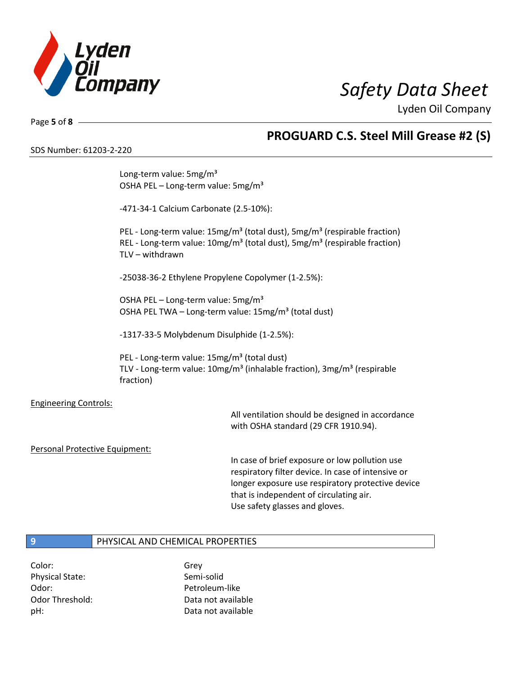

Page **5** of **8**

## **PROGUARD C.S. Steel Mill Grease #2 (S)**

SDS Number: 61203-2-220

|                                | Long-term value: 5mg/m <sup>3</sup><br>OSHA PEL - Long-term value: 5mg/m <sup>3</sup>                                                                                                                                     |                                                                                                                                                           |  |
|--------------------------------|---------------------------------------------------------------------------------------------------------------------------------------------------------------------------------------------------------------------------|-----------------------------------------------------------------------------------------------------------------------------------------------------------|--|
|                                | -471-34-1 Calcium Carbonate (2.5-10%):                                                                                                                                                                                    |                                                                                                                                                           |  |
|                                | PEL - Long-term value: 15mg/m <sup>3</sup> (total dust), 5mg/m <sup>3</sup> (respirable fraction)<br>REL - Long-term value: 10mg/m <sup>3</sup> (total dust), 5mg/m <sup>3</sup> (respirable fraction)<br>TLV - withdrawn |                                                                                                                                                           |  |
|                                | -25038-36-2 Ethylene Propylene Copolymer (1-2.5%):                                                                                                                                                                        |                                                                                                                                                           |  |
|                                | OSHA PEL - Long-term value: 5mg/m <sup>3</sup><br>OSHA PEL TWA - Long-term value: 15mg/m <sup>3</sup> (total dust)                                                                                                        |                                                                                                                                                           |  |
|                                | -1317-33-5 Molybdenum Disulphide (1-2.5%):                                                                                                                                                                                |                                                                                                                                                           |  |
|                                | PEL - Long-term value: 15mg/m <sup>3</sup> (total dust)<br>TLV - Long-term value: 10mg/m <sup>3</sup> (inhalable fraction), 3mg/m <sup>3</sup> (respirable<br>fraction)                                                   |                                                                                                                                                           |  |
| <b>Engineering Controls:</b>   |                                                                                                                                                                                                                           | All ventilation should be designed in accordance<br>with OSHA standard (29 CFR 1910.94).                                                                  |  |
| Personal Protective Equipment: |                                                                                                                                                                                                                           | In case of brief exposure or low pollution use<br>respiratory filter device. In case of intensive or<br>longer exposure use respiratory protective device |  |

that is independent of circulating air. Use safety glasses and gloves.

## **9** PHYSICAL AND CHEMICAL PROPERTIES

Color: Grey Physical State: Semi-solid Odor: Petroleum-like

Odor Threshold: Data not available pH: Data not available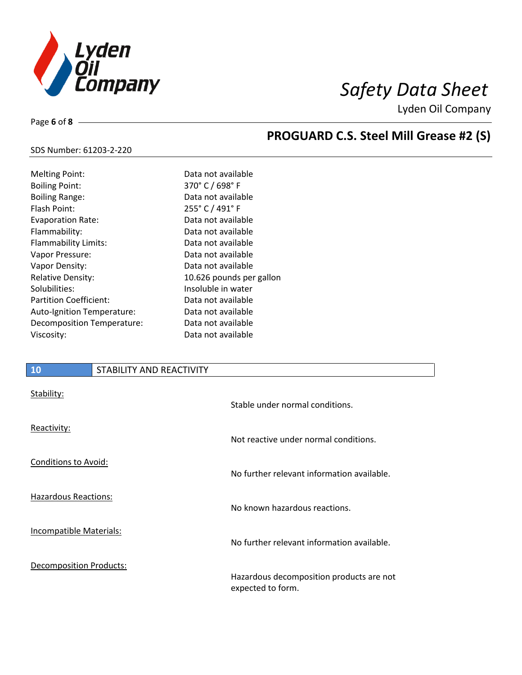

Page **6** of **8**

# **PROGUARD C.S. Steel Mill Grease #2 (S)**

### SDS Number: 61203-2-220

| <b>Melting Point:</b>      | Data not available       |
|----------------------------|--------------------------|
| <b>Boiling Point:</b>      | 370° C / 698° F          |
| <b>Boiling Range:</b>      | Data not available       |
| Flash Point:               | 255° C / 491° F          |
| <b>Evaporation Rate:</b>   | Data not available       |
| Flammability:              | Data not available       |
| Flammability Limits:       | Data not available       |
| Vapor Pressure:            | Data not available       |
| Vapor Density:             | Data not available       |
| <b>Relative Density:</b>   | 10.626 pounds per gallon |
| Solubilities:              | Insoluble in water       |
| Partition Coefficient:     | Data not available       |
| Auto-Ignition Temperature: | Data not available       |
| Decomposition Temperature: | Data not available       |
| Viscosity:                 | Data not available       |

### **10** STABILITY AND REACTIVITY

| Stability:                     | Stable under normal conditions.                               |
|--------------------------------|---------------------------------------------------------------|
| Reactivity:                    | Not reactive under normal conditions.                         |
| Conditions to Avoid:           | No further relevant information available.                    |
| <b>Hazardous Reactions:</b>    | No known hazardous reactions.                                 |
| Incompatible Materials:        | No further relevant information available.                    |
| <b>Decomposition Products:</b> | Hazardous decomposition products are not<br>expected to form. |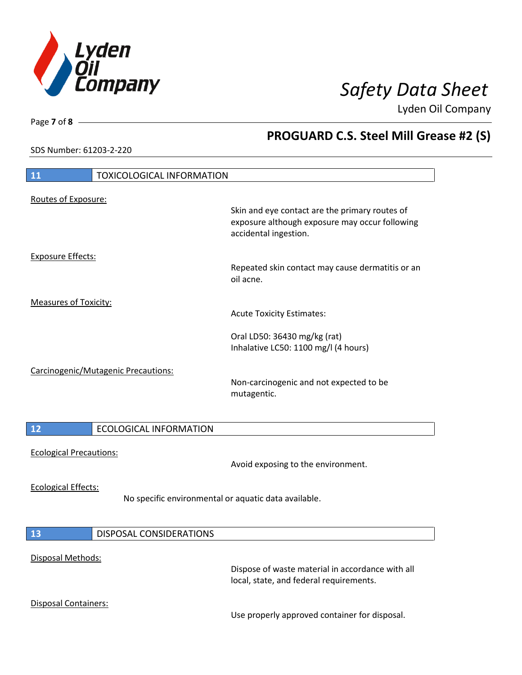

**PROGUARD C.S. Steel Mill Grease #2 (S)**

Lyden Oil Company

SDS Number: 61203-2-220

Page **7** of **8**

| <b>TOXICOLOGICAL INFORMATION</b><br>11                                             |                                                                                                                           |  |
|------------------------------------------------------------------------------------|---------------------------------------------------------------------------------------------------------------------------|--|
|                                                                                    |                                                                                                                           |  |
| Routes of Exposure:                                                                | Skin and eye contact are the primary routes of<br>exposure although exposure may occur following<br>accidental ingestion. |  |
| <b>Exposure Effects:</b>                                                           | Repeated skin contact may cause dermatitis or an<br>oil acne.                                                             |  |
| <b>Measures of Toxicity:</b>                                                       | <b>Acute Toxicity Estimates:</b>                                                                                          |  |
|                                                                                    | Oral LD50: 36430 mg/kg (rat)<br>Inhalative LC50: 1100 mg/l (4 hours)                                                      |  |
| Carcinogenic/Mutagenic Precautions:                                                | Non-carcinogenic and not expected to be<br>mutagentic.                                                                    |  |
| <b>ECOLOGICAL INFORMATION</b><br>12                                                |                                                                                                                           |  |
| <b>Ecological Precautions:</b>                                                     | Avoid exposing to the environment.                                                                                        |  |
| <b>Ecological Effects:</b><br>No specific environmental or aquatic data available. |                                                                                                                           |  |
| <b>DISPOSAL CONSIDERATIONS</b><br>13                                               |                                                                                                                           |  |
| Disposal Methods:                                                                  | Dispose of waste material in accordance with all<br>local, state, and federal requirements.                               |  |
| <b>Disposal Containers:</b>                                                        | Use properly approved container for disposal.                                                                             |  |